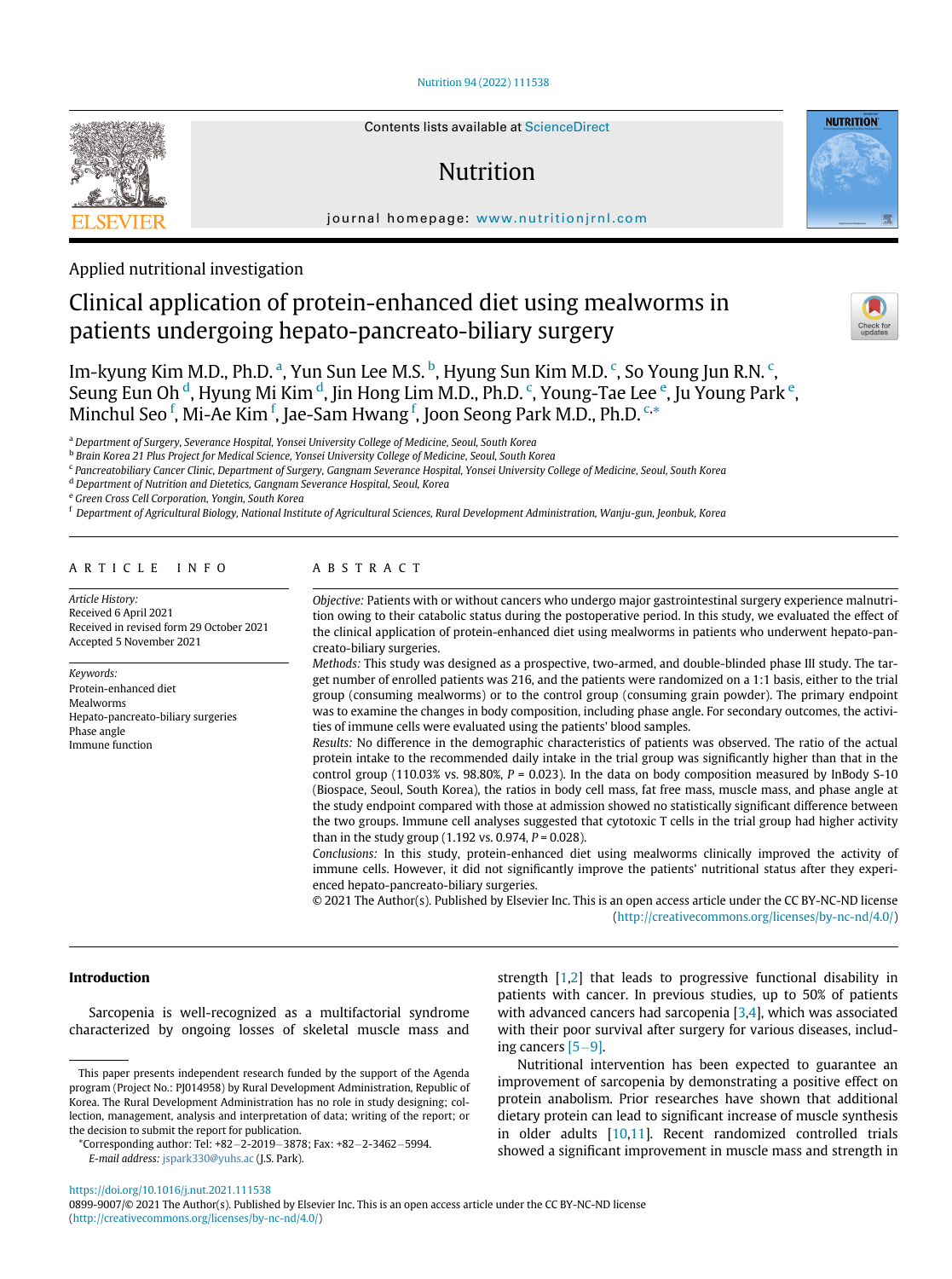## [Nutrition 94 \(2022\) 111538](https://doi.org/10.1016/j.nut.2021.111538)



# Nutrition

journal homepage: [www.nutritionjrnl.com](http://www.nutritionjrnl.com)

Applied nutritional investigation

# Clinical application of protein-enhanced diet using mealworms in patients undergoing hepato-pancreato-biliary surgery



**NUTRITION** 

Im-kyung Kim M.D., Ph.D. <sup>[a](#page-0-0)</sup>, Yun Sun Lee M.S. <sup>[b](#page-0-1)</sup>, Hyung Sun Kim M.D. <sup>[c](#page-0-2)</sup>, So Young Jun R.N. <sup>c</sup>, Seung Eun Oh <sup>[d](#page-0-3)</sup>, Hyung Mi Kim <sup>d</sup>, Jin Hong Lim M.D., Ph.D.  $\lq$ , Young-Ta[e](#page-0-4) Lee  $\lq$ , Ju Young Park  $\lq$ , Minchul Seo <sup>[f](#page-0-5)</sup>, Mi-Ae Kim <sup>f</sup>, Jae-Sam Hwang <sup>f</sup>, Joon Seong Park M.D., Ph.D. <sup>[c](#page-0-2),[\\*](#page-0-6)</sup>

<span id="page-0-0"></span><sup>a</sup> Department of Surgery, Severance Hospital, Yonsei University College of Medicine, Seoul, South Korea

<span id="page-0-1"></span>**b Brain Korea 21 Plus Project for Medical Science, Yonsei University College of Medicine, Seoul, South Korea** 

<span id="page-0-2"></span><sup>c</sup> Pancreatobiliary Cancer Clinic, Department of Surgery, Gangnam Severance Hospital, Yonsei University College of Medicine, Seoul, South Korea

<span id="page-0-3"></span> $^{\rm d}$  Department of Nutrition and Dietetics, Gangnam Severance Hospital, Seoul, Korea

<span id="page-0-4"></span>e Green Cross Cell Corporation, Yongin, South Korea

<span id="page-0-5"></span><sup>f</sup> Department of Agricultural Biology, National Institute of Agricultural Sciences, Rural Development Administration, Wanju-gun, Jeonbuk, Korea

# ARTICLE INFO

Article History: Received 6 April 2021 Received in revised form 29 October 2021 Accepted 5 November 2021

Keywords: Protein-enhanced diet Mealworms Hepato-pancreato-biliary surgeries Phase angle Immune function

# ABSTRACT

Objective: Patients with or without cancers who undergo major gastrointestinal surgery experience malnutrition owing to their catabolic status during the postoperative period. In this study, we evaluated the effect of the clinical application of protein-enhanced diet using mealworms in patients who underwent hepato-pancreato-biliary surgeries.

Methods: This study was designed as a prospective, two-armed, and double-blinded phase III study. The target number of enrolled patients was 216, and the patients were randomized on a 1:1 basis, either to the trial group (consuming mealworms) or to the control group (consuming grain powder). The primary endpoint was to examine the changes in body composition, including phase angle. For secondary outcomes, the activities of immune cells were evaluated using the patients' blood samples.

Results: No difference in the demographic characteristics of patients was observed. The ratio of the actual protein intake to the recommended daily intake in the trial group was significantly higher than that in the control group (110.03% vs. 98.80%,  $P = 0.023$ ). In the data on body composition measured by InBody S-10 (Biospace, Seoul, South Korea), the ratios in body cell mass, fat free mass, muscle mass, and phase angle at the study endpoint compared with those at admission showed no statistically significant difference between the two groups. Immune cell analyses suggested that cytotoxic T cells in the trial group had higher activity than in the study group (1.192 vs. 0.974,  $P = 0.028$ ).

Conclusions: In this study, protein-enhanced diet using mealworms clinically improved the activity of immune cells. However, it did not significantly improve the patients' nutritional status after they experienced hepato-pancreato-biliary surgeries.

© 2021 The Author(s). Published by Elsevier Inc. This is an open access article under the CC BY-NC-ND license ([http://creativecommons.org/licenses/by-nc-nd/4.0/\)](http://creativecommons.org/licenses/by-nc-nd/4.0/)

# Introduction

Sarcopenia is well-recognized as a multifactorial syndrome characterized by ongoing losses of skeletal muscle mass and

<span id="page-0-6"></span>\*Corresponding author: Tel: +82-2-2019-3878; Fax: +82-2-3462-5994. E-mail address: [jspark330@yuhs.ac](mailto:jspark330@yuhs.ac) (J.S. Park).

strength [\[1](#page-3-0)[,2](#page-3-1)] that leads to progressive functional disability in patients with cancer. In previous studies, up to 50% of patients with advanced cancers had sarcopenia  $[3,4]$  $[3,4]$  $[3,4]$ , which was associated with their poor survival after surgery for various diseases, including cancers  $[5-9]$  $[5-9]$ .

Nutritional intervention has been expected to guarantee an improvement of sarcopenia by demonstrating a positive effect on protein anabolism. Prior researches have shown that additional dietary protein can lead to significant increase of muscle synthesis in older adults [[10,](#page-3-5)[11\]](#page-4-0). Recent randomized controlled trials showed a significant improvement in muscle mass and strength in

This paper presents independent research funded by the support of the Agenda program (Project No.: PJ014958) by Rural Development Administration, Republic of Korea. The Rural Development Administration has no role in study designing; collection, management, analysis and interpretation of data; writing of the report; or the decision to submit the report for publication.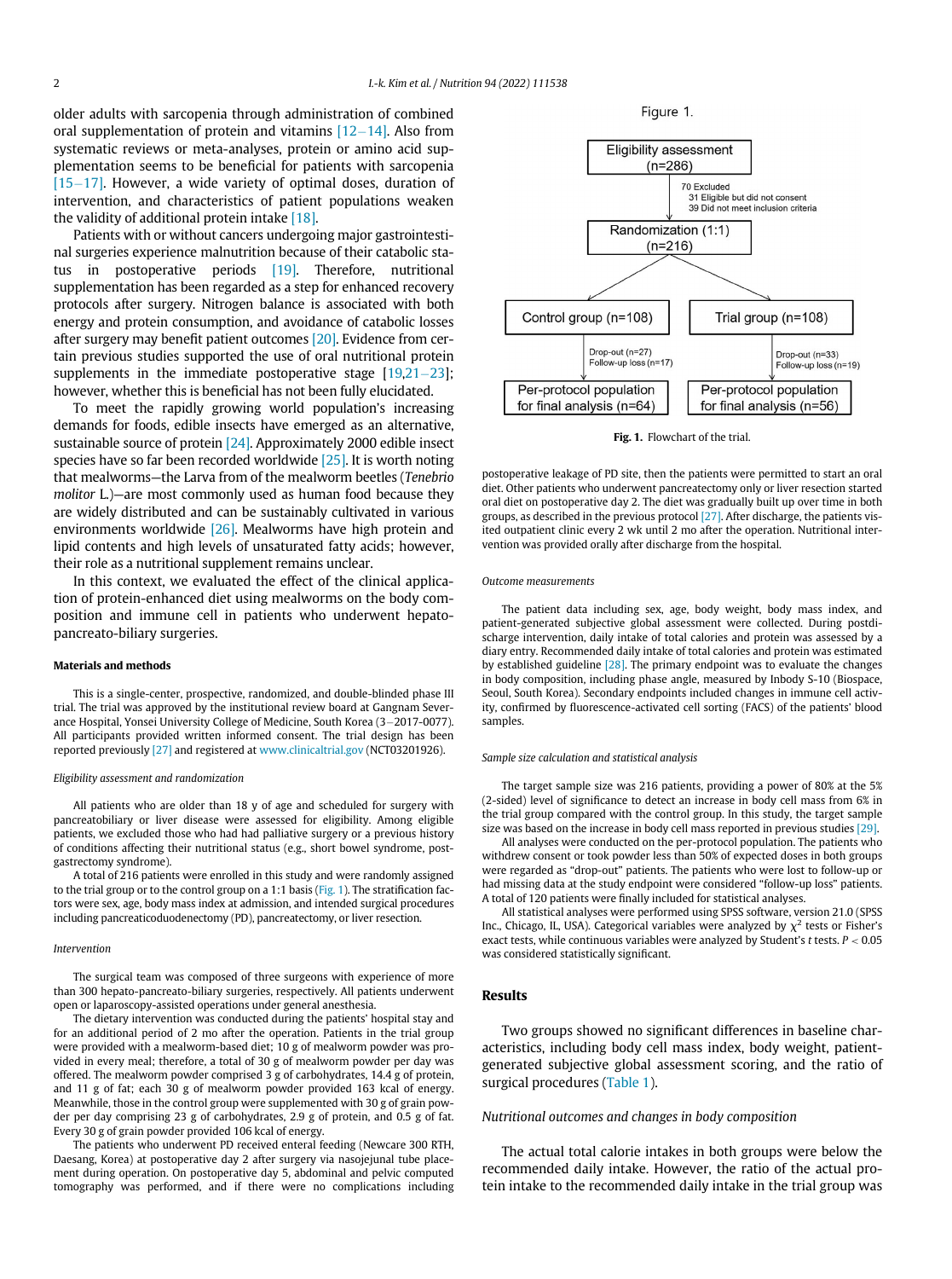<span id="page-1-0"></span>older adults with sarcopenia through administration of combined oral supplementation of protein and vitamins  $[12-14]$  $[12-14]$  $[12-14]$ . Also from systematic reviews or meta-analyses, protein or amino acid supplementation seems to be beneficial for patients with sarcopenia  $[15-17]$  $[15-17]$  $[15-17]$ . However, a wide variety of optimal doses, duration of intervention, and characteristics of patient populations weaken the validity of additional protein intake [\[18\].](#page-4-3)

Patients with or without cancers undergoing major gastrointestinal surgeries experience malnutrition because of their catabolic status in postoperative periods [\[19\]](#page-4-4). Therefore, nutritional supplementation has been regarded as a step for enhanced recovery protocols after surgery. Nitrogen balance is associated with both energy and protein consumption, and avoidance of catabolic losses after surgery may benefit patient outcomes [\[20\]](#page-4-5). Evidence from certain previous studies supported the use of oral nutritional protein supplements in the immediate postoperative stage  $[19,21-23]$  $[19,21-23]$  $[19,21-23]$  $[19,21-23]$  $[19,21-23]$ ; however, whether this is beneficial has not been fully elucidated.

To meet the rapidly growing world population's increasing demands for foods, edible insects have emerged as an alternative, sustainable source of protein [\[24\]](#page-4-7). Approximately 2000 edible insect species have so far been recorded worldwide [\[25\]](#page-4-8). It is worth noting that mealworms—the Larva from of the mealworm beetles (Tenebrio molitor L.)—are most commonly used as human food because they are widely distributed and can be sustainably cultivated in various environments worldwide [\[26\]](#page-4-9). Mealworms have high protein and lipid contents and high levels of unsaturated fatty acids; however, their role as a nutritional supplement remains unclear.

In this context, we evaluated the effect of the clinical application of protein-enhanced diet using mealworms on the body composition and immune cell in patients who underwent hepatopancreato-biliary surgeries.

## Materials and methods

This is a single-center, prospective, randomized, and double-blinded phase III trial. The trial was approved by the institutional review board at Gangnam Severance Hospital, Yonsei University College of Medicine, South Korea (3-2017-0077). All participants provided written informed consent. The trial design has been reported previously [\[27\]](#page-4-10) and registered at [www.clinicaltrial.gov](http://www.clinicaltrial.gov) (NCT03201926).

### Eligibility assessment and randomization

All patients who are older than 18 y of age and scheduled for surgery with pancreatobiliary or liver disease were assessed for eligibility. Among eligible patients, we excluded those who had had palliative surgery or a previous history of conditions affecting their nutritional status (e.g., short bowel syndrome, postgastrectomy syndrome).

A total of 216 patients were enrolled in this study and were randomly assigned to the trial group or to the control group on a 1:1 basis [\(Fig. 1](#page-1-0)). The stratification factors were sex, age, body mass index at admission, and intended surgical procedures including pancreaticoduodenectomy (PD), pancreatectomy, or liver resection.

### Intervention

The surgical team was composed of three surgeons with experience of more than 300 hepato-pancreato-biliary surgeries, respectively. All patients underwent open or laparoscopy-assisted operations under general anesthesia.

The dietary intervention was conducted during the patients' hospital stay and for an additional period of 2 mo after the operation. Patients in the trial group were provided with a mealworm-based diet; 10 g of mealworm powder was provided in every meal; therefore, a total of 30 g of mealworm powder per day was offered. The mealworm powder comprised 3 g of carbohydrates, 14.4 g of protein, and 11 g of fat; each 30 g of mealworm powder provided 163 kcal of energy. Meanwhile, those in the control group were supplemented with 30 g of grain powder per day comprising 23 g of carbohydrates, 2.9 g of protein, and 0.5 g of fat. Every 30 g of grain powder provided 106 kcal of energy.

The patients who underwent PD received enteral feeding (Newcare 300 RTH, Daesang, Korea) at postoperative day 2 after surgery via nasojejunal tube placement during operation. On postoperative day 5, abdominal and pelvic computed tomography was performed, and if there were no complications including





Fig. 1. Flowchart of the trial.

postoperative leakage of PD site, then the patients were permitted to start an oral diet. Other patients who underwent pancreatectomy only or liver resection started oral diet on postoperative day 2. The diet was gradually built up over time in both groups, as described in the previous protocol [\[27\]](#page-4-10). After discharge, the patients visited outpatient clinic every 2 wk until 2 mo after the operation. Nutritional intervention was provided orally after discharge from the hospital.

#### Outcome measurements

The patient data including sex, age, body weight, body mass index, and patient-generated subjective global assessment were collected. During postdischarge intervention, daily intake of total calories and protein was assessed by a diary entry. Recommended daily intake of total calories and protein was estimated by established guideline [\[28\]](#page-4-11). The primary endpoint was to evaluate the changes in body composition, including phase angle, measured by Inbody S-10 (Biospace, Seoul, South Korea). Secondary endpoints included changes in immune cell activity, confirmed by fluorescence-activated cell sorting (FACS) of the patients' blood samples.

## Sample size calculation and statistical analysis

The target sample size was 216 patients, providing a power of 80% at the 5% (2-sided) level of significance to detect an increase in body cell mass from 6% in the trial group compared with the control group. In this study, the target sample size was based on the increase in body cell mass reported in previous studies [\[29\].](#page-4-12)

All analyses were conducted on the per-protocol population. The patients who withdrew consent or took powder less than 50% of expected doses in both groups were regarded as "drop-out" patients. The patients who were lost to follow-up or had missing data at the study endpoint were considered "follow-up loss" patients. A total of 120 patients were finally included for statistical analyses.

All statistical analyses were performed using SPSS software, version 21.0 (SPSS Inc., Chicago, IL, USA). Categorical variables were analyzed by  $\chi^2$  tests or Fisher's exact tests, while continuous variables were analyzed by Student's  $t$  tests.  $P < 0.05$ was considered statistically significant.

## Results

Two groups showed no significant differences in baseline characteristics, including body cell mass index, body weight, patientgenerated subjective global assessment scoring, and the ratio of surgical procedures [\(Table 1](#page-2-0)).

## Nutritional outcomes and changes in body composition

The actual total calorie intakes in both groups were below the recommended daily intake. However, the ratio of the actual protein intake to the recommended daily intake in the trial group was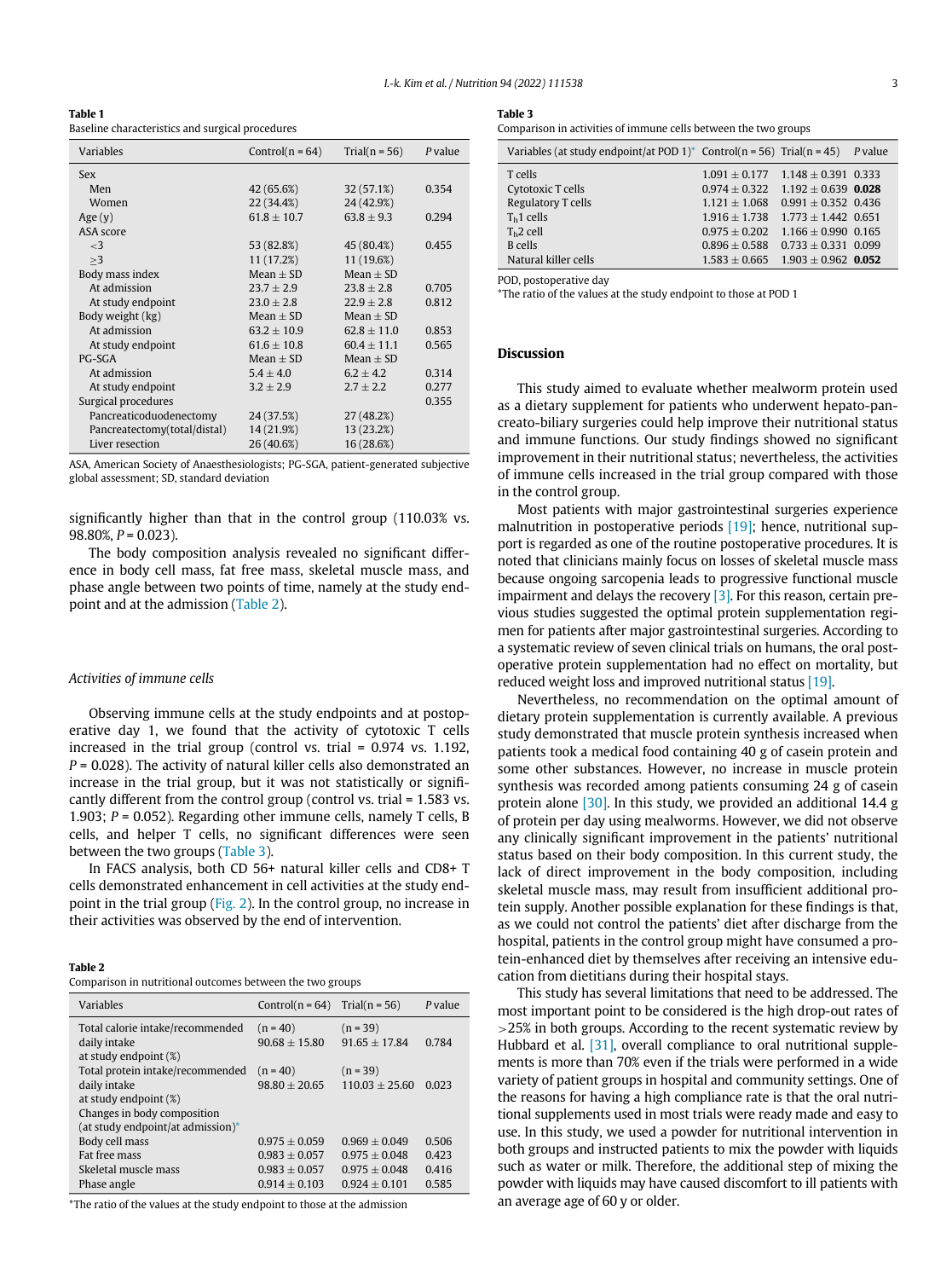<span id="page-2-2"></span><span id="page-2-0"></span>Table 1 Baseline characteristics and surgical procedures

<span id="page-2-4"></span>

| Variables                    | Control( $n = 64$ ) | Trial( $n = 56$ ) | P value |
|------------------------------|---------------------|-------------------|---------|
| Sex                          |                     |                   |         |
| Men                          | 42 (65.6%)          | 32 (57.1%)        | 0.354   |
| Women                        | 22 (34.4%)          | 24 (42.9%)        |         |
| Age $(y)$                    | $61.8 + 10.7$       | $63.8 + 9.3$      | 0.294   |
| ASA score                    |                     |                   |         |
| $\leq$ 3                     | 53 (82.8%)          | 45 (80.4%)        | 0.455   |
| >3                           | 11 (17.2%)          | 11 (19.6%)        |         |
| Body mass index              | $Mean + SD$         | $Mean + SD$       |         |
| At admission                 | $23.7 \pm 2.9$      | $23.8 \pm 2.8$    | 0.705   |
| At study endpoint            | $23.0 \pm 2.8$      | $22.9 + 2.8$      | 0.812   |
| Body weight (kg)             | $Mean + SD$         | $Mean + SD$       |         |
| At admission                 | $63.2 + 10.9$       | $62.8 + 11.0$     | 0.853   |
| At study endpoint            | $61.6 \pm 10.8$     | $60.4 + 11.1$     | 0.565   |
| $PG-SGA$                     | $Mean + SD$         | $Mean + SD$       |         |
| At admission                 | $5.4 \pm 4.0$       | $6.2 + 4.2$       | 0.314   |
| At study endpoint            | $3.2 \pm 2.9$       | $2.7 + 2.2$       | 0.277   |
| Surgical procedures          |                     |                   | 0.355   |
| Pancreaticoduodenectomy      | 24 (37.5%)          | 27 (48.2%)        |         |
| Pancreatectomy(total/distal) | 14 (21.9%)          | 13 (23.2%)        |         |
| Liver resection              | 26 (40.6%)          | 16 (28.6%)        |         |

ASA, American Society of Anaesthesiologists; PG-SGA, patient-generated subjective global assessment; SD, standard deviation

significantly higher than that in the control group (110.03% vs. 98.80%,  $P = 0.023$ ).

The body composition analysis revealed no significant difference in body cell mass, fat free mass, skeletal muscle mass, and phase angle between two points of time, namely at the study endpoint and at the admission [\(Table 2](#page-2-1)).

## Activities of immune cells

Observing immune cells at the study endpoints and at postoperative day 1, we found that the activity of cytotoxic T cells increased in the trial group (control vs. trial = 0.974 vs. 1.192,  $P = 0.028$ ). The activity of natural killer cells also demonstrated an increase in the trial group, but it was not statistically or significantly different from the control group (control vs. trial = 1.583 vs. 1.903; P = 0.052). Regarding other immune cells, namely T cells, B cells, and helper T cells, no significant differences were seen between the two groups ([Table 3](#page-2-2)).

In FACS analysis, both CD 56+ natural killer cells and CD8+ T cells demonstrated enhancement in cell activities at the study endpoint in the trial group [\(Fig. 2](#page-3-6)). In the control group, no increase in their activities was observed by the end of intervention.

<span id="page-2-1"></span>

| ш<br>$\sim$ | э. |  |  |  |
|-------------|----|--|--|--|
|-------------|----|--|--|--|

|  |  |  | Comparison in nutritional outcomes between the two groups |
|--|--|--|-----------------------------------------------------------|
|  |  |  |                                                           |

| Variables                                                                                                   | $Control(n = 64)$                    | Trial( $n = 56$ )                  | P value        |
|-------------------------------------------------------------------------------------------------------------|--------------------------------------|------------------------------------|----------------|
| Total calorie intake/recommended<br>daily intake<br>at study endpoint $(\%)$                                | $(n = 40)$<br>$90.68 + 15.80$        | $(n = 39)$<br>$91.65 + 17.84$      | 0.784          |
| Total protein intake/recommended<br>daily intake<br>at study endpoint $(\%)$<br>Changes in body composition | $(n = 40)$<br>$98.80 + 20.65$        | $(n = 39)$<br>$110.03 + 25.60$     | 0.023          |
| (at study endpoint/at admission)*                                                                           |                                      |                                    |                |
| Body cell mass<br>Fat free mass                                                                             | $0.975 + 0.059$<br>$0.983 \pm 0.057$ | $0.969 + 0.049$<br>$0.975 + 0.048$ | 0.506<br>0.423 |
| Skeletal muscle mass                                                                                        | $0.983 + 0.057$                      | $0.975 + 0.048$                    | 0.416          |
| Phase angle                                                                                                 | $0.914 + 0.103$                      | $0.924 + 0.101$                    | 0.585          |

<span id="page-2-3"></span>\*The ratio of the values at the study endpoint to those at the admission

Table 3

Comparison in activities of immune cells between the two groups

| Variables (at study endpoint/at POD 1)* Control(n = 56) Trial(n = 45) P value |                                           |                       |  |
|-------------------------------------------------------------------------------|-------------------------------------------|-----------------------|--|
| T cells                                                                       | $1.091 \pm 0.177$ $1.148 \pm 0.391$ 0.333 |                       |  |
| Cytotoxic T cells                                                             | $0.974 + 0.322$ $1.192 + 0.639$ 0.028     |                       |  |
| Regulatory T cells                                                            | $1.121 + 1.068$                           | $0.991 + 0.352$ 0.436 |  |
| $Th1$ cells                                                                   | $1.916 + 1.738$ $1.773 + 1.442$ 0.651     |                       |  |
| $Th2$ cell                                                                    | $0.975 + 0.202$                           | $1.166 + 0.990$ 0.165 |  |
| <b>B</b> cells                                                                | $0.896 + 0.588$                           | $0.733 + 0.331$ 0.099 |  |
| Natural killer cells                                                          | $1.583 + 0.665$ $1.903 + 0.962$ 0.052     |                       |  |

POD, postoperative day

\*The ratio of the values at the study endpoint to those at POD 1

# Discussion

This study aimed to evaluate whether mealworm protein used as a dietary supplement for patients who underwent hepato-pancreato-biliary surgeries could help improve their nutritional status and immune functions. Our study findings showed no significant improvement in their nutritional status; nevertheless, the activities of immune cells increased in the trial group compared with those in the control group.

Most patients with major gastrointestinal surgeries experience malnutrition in postoperative periods [\[19\]](#page-4-4); hence, nutritional support is regarded as one of the routine postoperative procedures. It is noted that clinicians mainly focus on losses of skeletal muscle mass because ongoing sarcopenia leads to progressive functional muscle impairment and delays the recovery  $[3]$ . For this reason, certain previous studies suggested the optimal protein supplementation regimen for patients after major gastrointestinal surgeries. According to a systematic review of seven clinical trials on humans, the oral postoperative protein supplementation had no effect on mortality, but reduced weight loss and improved nutritional status [\[19\]](#page-4-4).

Nevertheless, no recommendation on the optimal amount of dietary protein supplementation is currently available. A previous study demonstrated that muscle protein synthesis increased when patients took a medical food containing 40 g of casein protein and some other substances. However, no increase in muscle protein synthesis was recorded among patients consuming 24 g of casein protein alone [\[30\]](#page-4-13). In this study, we provided an additional 14.4 g of protein per day using mealworms. However, we did not observe any clinically significant improvement in the patients' nutritional status based on their body composition. In this current study, the lack of direct improvement in the body composition, including skeletal muscle mass, may result from insufficient additional protein supply. Another possible explanation for these findings is that, as we could not control the patients' diet after discharge from the hospital, patients in the control group might have consumed a protein-enhanced diet by themselves after receiving an intensive education from dietitians during their hospital stays.

This study has several limitations that need to be addressed. The most important point to be considered is the high drop-out rates of >25% in both groups. According to the recent systematic review by Hubbard et al. [\[31\]](#page-4-14), overall compliance to oral nutritional supplements is more than 70% even if the trials were performed in a wide variety of patient groups in hospital and community settings. One of the reasons for having a high compliance rate is that the oral nutritional supplements used in most trials were ready made and easy to use. In this study, we used a powder for nutritional intervention in both groups and instructed patients to mix the powder with liquids such as water or milk. Therefore, the additional step of mixing the powder with liquids may have caused discomfort to ill patients with an average age of 60 y or older.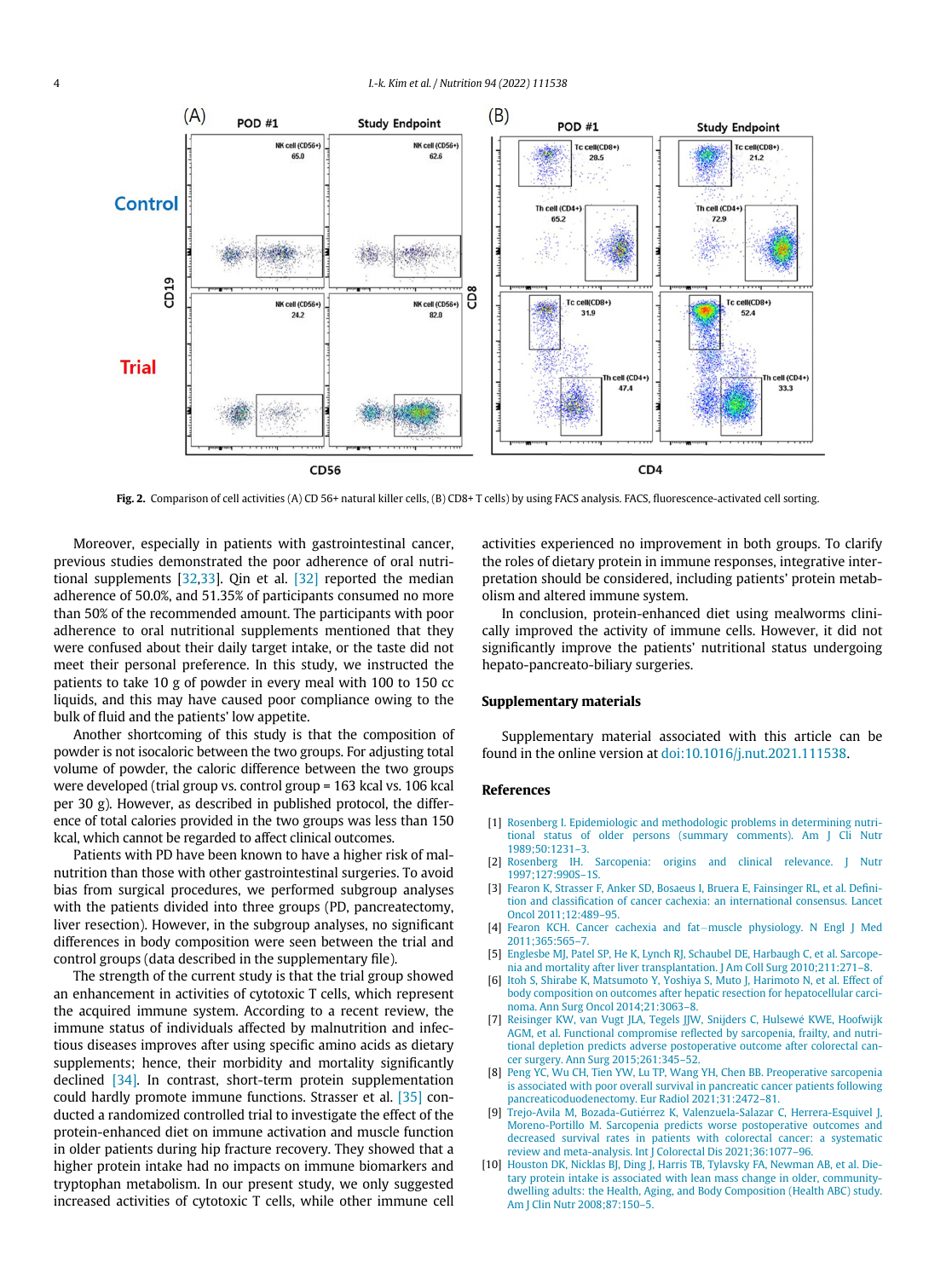<span id="page-3-6"></span>

Fig. 2. Comparison of cell activities (A) CD 56+ natural killer cells, (B) CD8+ T cells) by using FACS analysis. FACS, fluorescence-activated cell sorting.

Moreover, especially in patients with gastrointestinal cancer, previous studies demonstrated the poor adherence of oral nutritional supplements  $[32,33]$  $[32,33]$ . Qin et al.  $[32]$  reported the median adherence of 50.0%, and 51.35% of participants consumed no more than 50% of the recommended amount. The participants with poor adherence to oral nutritional supplements mentioned that they were confused about their daily target intake, or the taste did not meet their personal preference. In this study, we instructed the patients to take 10 g of powder in every meal with 100 to 150 cc liquids, and this may have caused poor compliance owing to the bulk of fluid and the patients' low appetite.

Another shortcoming of this study is that the composition of powder is not isocaloric between the two groups. For adjusting total volume of powder, the caloric difference between the two groups were developed (trial group vs. control group = 163 kcal vs. 106 kcal per 30 g). However, as described in published protocol, the difference of total calories provided in the two groups was less than 150 kcal, which cannot be regarded to affect clinical outcomes.

<span id="page-3-2"></span><span id="page-3-1"></span><span id="page-3-0"></span>Patients with PD have been known to have a higher risk of malnutrition than those with other gastrointestinal surgeries. To avoid bias from surgical procedures, we performed subgroup analyses with the patients divided into three groups (PD, pancreatectomy, liver resection). However, in the subgroup analyses, no significant differences in body composition were seen between the trial and control groups (data described in the supplementary file).

<span id="page-3-5"></span><span id="page-3-4"></span><span id="page-3-3"></span>The strength of the current study is that the trial group showed an enhancement in activities of cytotoxic T cells, which represent the acquired immune system. According to a recent review, the immune status of individuals affected by malnutrition and infectious diseases improves after using specific amino acids as dietary supplements; hence, their morbidity and mortality significantly declined [\[34\].](#page-4-17) In contrast, short-term protein supplementation could hardly promote immune functions. Strasser et al. [\[35\]](#page-4-18) conducted a randomized controlled trial to investigate the effect of the protein-enhanced diet on immune activation and muscle function in older patients during hip fracture recovery. They showed that a higher protein intake had no impacts on immune biomarkers and tryptophan metabolism. In our present study, we only suggested increased activities of cytotoxic T cells, while other immune cell activities experienced no improvement in both groups. To clarify the roles of dietary protein in immune responses, integrative interpretation should be considered, including patients' protein metabolism and altered immune system.

In conclusion, protein-enhanced diet using mealworms clinically improved the activity of immune cells. However, it did not significantly improve the patients' nutritional status undergoing hepato-pancreato-biliary surgeries.

# Supplementary materials

Supplementary material associated with this article can be found in the online version at [doi:10.1016/j.nut.2021.111538.](https://doi.org/10.1016/j.nut.2021.111538)

## References

- [1] [Rosenberg I. Epidemiologic and methodologic problems in determining nutri](http://refhub.elsevier.com/S0899-9007(21)00400-7/sbref0001)[tional status of older persons \(summary comments\). Am J Cli Nutr](http://refhub.elsevier.com/S0899-9007(21)00400-7/sbref0001) [1989;50:1231](http://refhub.elsevier.com/S0899-9007(21)00400-7/sbref0001)–3.
- [2] [Rosenberg IH. Sarcopenia: origins and clinical relevance. J Nutr](http://refhub.elsevier.com/S0899-9007(21)00400-7/sbref0002) [1997;127:990S](http://refhub.elsevier.com/S0899-9007(21)00400-7/sbref0002)–1S.
- [3] [Fearon K, Strasser F, Anker SD, Bosaeus I, Bruera E, Fainsinger RL, et al. De](http://refhub.elsevier.com/S0899-9007(21)00400-7/sbref0003)finition and classifi[cation of cancer cachexia: an international consensus. Lancet](http://refhub.elsevier.com/S0899-9007(21)00400-7/sbref0003) [Oncol 2011;12:489](http://refhub.elsevier.com/S0899-9007(21)00400-7/sbref0003)–95.
- [4] [Fearon KCH. Cancer cachexia and fat](http://refhub.elsevier.com/S0899-9007(21)00400-7/sbref0004)-[muscle physiology. N Engl J Med](http://refhub.elsevier.com/S0899-9007(21)00400-7/sbref0004) [2011;365:565](http://refhub.elsevier.com/S0899-9007(21)00400-7/sbref0004)–7.
- [5] [Englesbe MJ, Patel SP, He K, Lynch RJ, Schaubel DE, Harbaugh C, et al. Sarcope](http://refhub.elsevier.com/S0899-9007(21)00400-7/sbref0005)[nia and mortality after liver transplantation. J Am Coll Surg 2010;211:271](http://refhub.elsevier.com/S0899-9007(21)00400-7/sbref0005)–8.
- [6] [Itoh S, Shirabe K, Matsumoto Y, Yoshiya S, Muto J, Harimoto N, et al. Effect of](http://refhub.elsevier.com/S0899-9007(21)00400-7/sbref0006) [body composition on outcomes after hepatic resection for hepatocellular carci](http://refhub.elsevier.com/S0899-9007(21)00400-7/sbref0006)[noma. Ann Surg Oncol 2014;21:3063](http://refhub.elsevier.com/S0899-9007(21)00400-7/sbref0006)–8.
- [7] [Reisinger KW, van Vugt JLA, Tegels JJW, Snijders C, Hulsewe KWE, Hoofwijk](http://refhub.elsevier.com/S0899-9007(21)00400-7/sbref0007) AGM, et al. Functional compromise refl[ected by sarcopenia, frailty, and nutri](http://refhub.elsevier.com/S0899-9007(21)00400-7/sbref0007)[tional depletion predicts adverse postoperative outcome after colorectal can](http://refhub.elsevier.com/S0899-9007(21)00400-7/sbref0007)[cer surgery. Ann Surg 2015;261:345](http://refhub.elsevier.com/S0899-9007(21)00400-7/sbref0007)–52.
- [8] [Peng YC, Wu CH, Tien YW, Lu TP, Wang YH, Chen BB. Preoperative sarcopenia](http://refhub.elsevier.com/S0899-9007(21)00400-7/sbref0008) [is associated with poor overall survival in pancreatic cancer patients following](http://refhub.elsevier.com/S0899-9007(21)00400-7/sbref0008) [pancreaticoduodenectomy. Eur Radiol 2021;31:2472](http://refhub.elsevier.com/S0899-9007(21)00400-7/sbref0008)–81.
- [9] Trejo-Avila M, Bozada-Gutiérrez K, Valenzuela-Salazar C, Herrera-Esquivel J, [Moreno-Portillo M. Sarcopenia predicts worse postoperative outcomes and](http://refhub.elsevier.com/S0899-9007(21)00400-7/sbref0009) [decreased survival rates in patients with colorectal cancer: a systematic](http://refhub.elsevier.com/S0899-9007(21)00400-7/sbref0009)
- [review and meta-analysis. Int J Colorectal Dis 2021;36:1077](http://refhub.elsevier.com/S0899-9007(21)00400-7/sbref0009)–96. [10] [Houston DK, Nicklas BJ, Ding J, Harris TB, Tylavsky FA, Newman AB, et al. Die](http://refhub.elsevier.com/S0899-9007(21)00400-7/sbref0010)[tary protein intake is associated with lean mass change in older, community](http://refhub.elsevier.com/S0899-9007(21)00400-7/sbref0010)[dwelling adults: the Health, Aging, and Body Composition \(Health ABC\) study.](http://refhub.elsevier.com/S0899-9007(21)00400-7/sbref0010) [Am J Clin Nutr 2008;87:150](http://refhub.elsevier.com/S0899-9007(21)00400-7/sbref0010)–5.